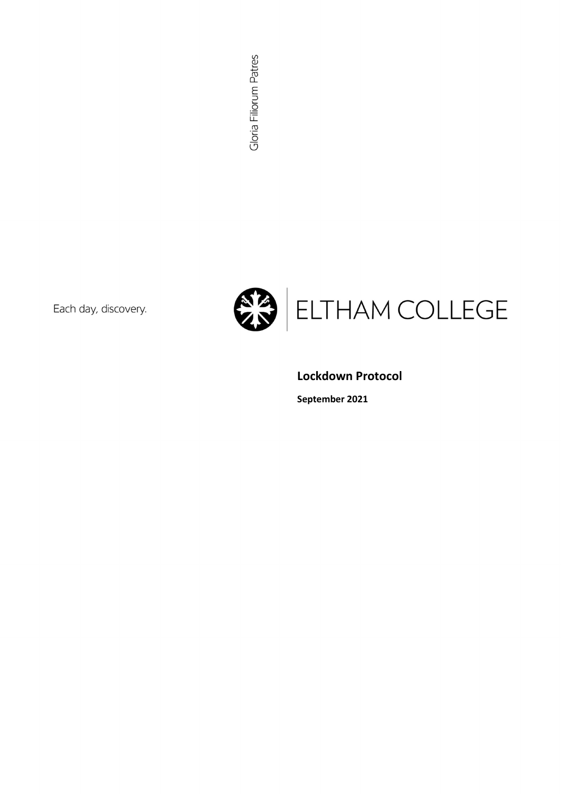Each day, discovery.



### Lockdown Protocol

September 2021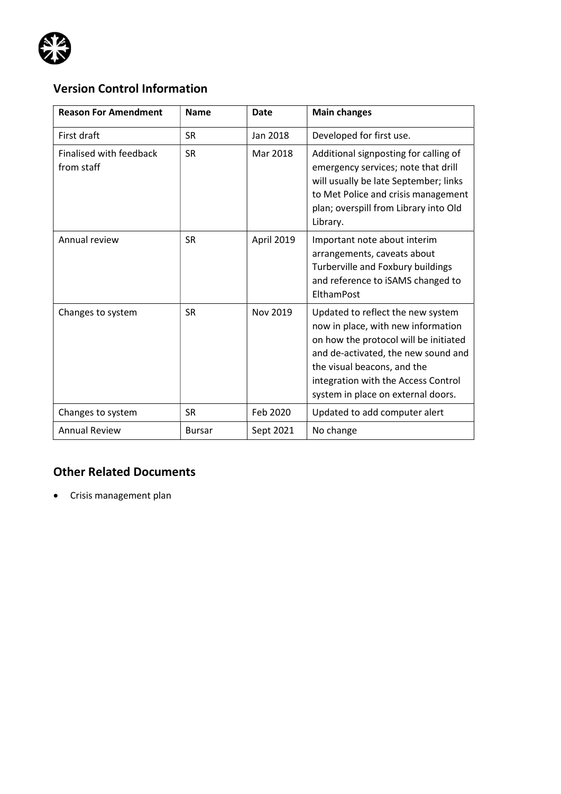

# Version Control Information

| <b>Reason For Amendment</b>                  | <b>Name</b>   | Date       | <b>Main changes</b>                                                                                                                                                                                                                                                 |
|----------------------------------------------|---------------|------------|---------------------------------------------------------------------------------------------------------------------------------------------------------------------------------------------------------------------------------------------------------------------|
| First draft                                  | <b>SR</b>     | Jan 2018   | Developed for first use.                                                                                                                                                                                                                                            |
| <b>Finalised with feedback</b><br>from staff | <b>SR</b>     | Mar 2018   | Additional signposting for calling of<br>emergency services; note that drill<br>will usually be late September; links<br>to Met Police and crisis management<br>plan; overspill from Library into Old<br>Library.                                                   |
| Annual review                                | <b>SR</b>     | April 2019 | Important note about interim<br>arrangements, caveats about<br>Turberville and Foxbury buildings<br>and reference to iSAMS changed to<br>ElthamPost                                                                                                                 |
| Changes to system                            | <b>SR</b>     | Nov 2019   | Updated to reflect the new system<br>now in place, with new information<br>on how the protocol will be initiated<br>and de-activated, the new sound and<br>the visual beacons, and the<br>integration with the Access Control<br>system in place on external doors. |
| Changes to system                            | <b>SR</b>     | Feb 2020   | Updated to add computer alert                                                                                                                                                                                                                                       |
| <b>Annual Review</b>                         | <b>Bursar</b> | Sept 2021  | No change                                                                                                                                                                                                                                                           |

## Other Related Documents

Crisis management plan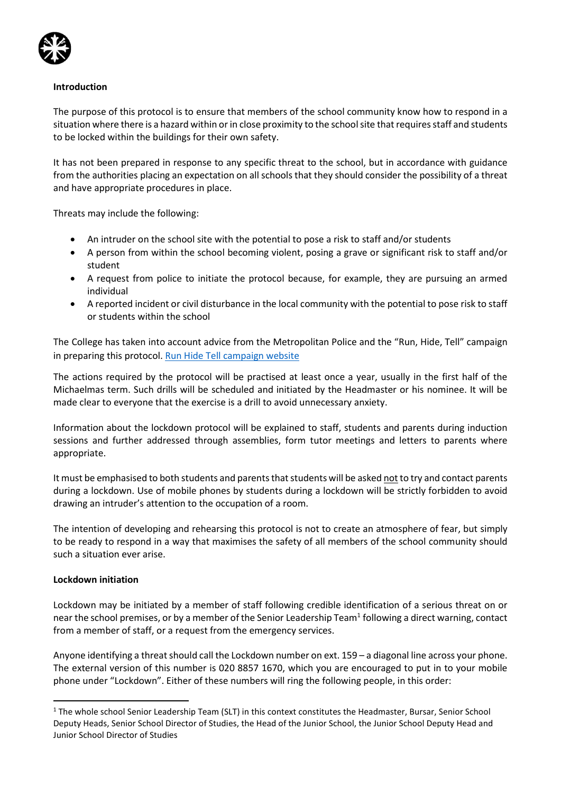

#### Introduction

The purpose of this protocol is to ensure that members of the school community know how to respond in a situation where there is a hazard within or in close proximity to the school site that requires staff and students to be locked within the buildings for their own safety.

It has not been prepared in response to any specific threat to the school, but in accordance with guidance from the authorities placing an expectation on all schools that they should consider the possibility of a threat and have appropriate procedures in place.

Threats may include the following:

- An intruder on the school site with the potential to pose a risk to staff and/or students
- A person from within the school becoming violent, posing a grave or significant risk to staff and/or student
- A request from police to initiate the protocol because, for example, they are pursuing an armed individual
- A reported incident or civil disturbance in the local community with the potential to pose risk to staff or students within the school

The College has taken into account advice from the Metropolitan Police and the "Run, Hide, Tell" campaign in preparing this protocol. Run Hide Tell campaign website

The actions required by the protocol will be practised at least once a year, usually in the first half of the Michaelmas term. Such drills will be scheduled and initiated by the Headmaster or his nominee. It will be made clear to everyone that the exercise is a drill to avoid unnecessary anxiety.

Information about the lockdown protocol will be explained to staff, students and parents during induction sessions and further addressed through assemblies, form tutor meetings and letters to parents where appropriate.

It must be emphasised to both students and parents that students will be asked not to try and contact parents during a lockdown. Use of mobile phones by students during a lockdown will be strictly forbidden to avoid drawing an intruder's attention to the occupation of a room.

The intention of developing and rehearsing this protocol is not to create an atmosphere of fear, but simply to be ready to respond in a way that maximises the safety of all members of the school community should such a situation ever arise.

#### Lockdown initiation

Lockdown may be initiated by a member of staff following credible identification of a serious threat on or near the school premises, or by a member of the Senior Leadership Team<sup>1</sup> following a direct warning, contact from a member of staff, or a request from the emergency services.

Anyone identifying a threat should call the Lockdown number on ext. 159 – a diagonal line across your phone. The external version of this number is 020 8857 1670, which you are encouraged to put in to your mobile phone under "Lockdown". Either of these numbers will ring the following people, in this order:

<sup>&</sup>lt;sup>1</sup> The whole school Senior Leadership Team (SLT) in this context constitutes the Headmaster, Bursar, Senior School Deputy Heads, Senior School Director of Studies, the Head of the Junior School, the Junior School Deputy Head and Junior School Director of Studies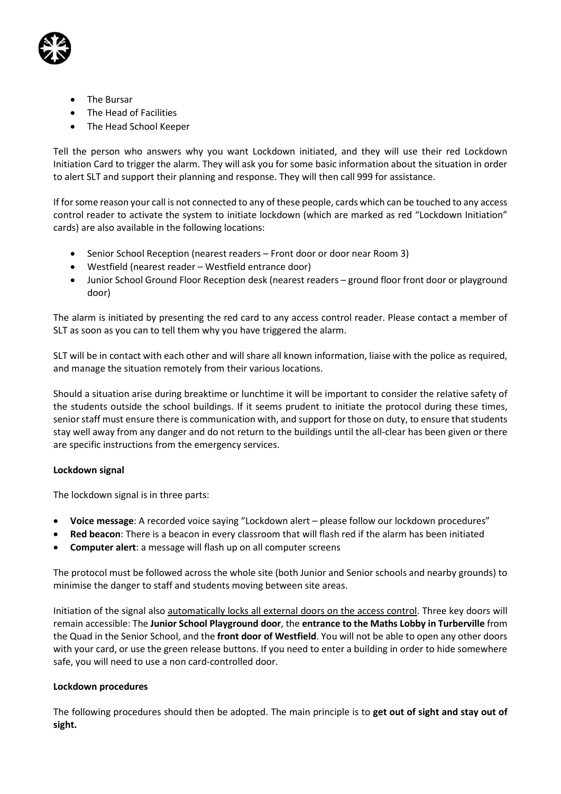

- The Bursar
- The Head of Facilities
- The Head School Keeper

Tell the person who answers why you want Lockdown initiated, and they will use their red Lockdown Initiation Card to trigger the alarm. They will ask you for some basic information about the situation in order to alert SLT and support their planning and response. They will then call 999 for assistance.

If for some reason your call is not connected to any of these people, cards which can be touched to any access control reader to activate the system to initiate lockdown (which are marked as red "Lockdown Initiation" cards) are also available in the following locations:

- Senior School Reception (nearest readers Front door or door near Room 3)
- Westfield (nearest reader Westfield entrance door)
- Junior School Ground Floor Reception desk (nearest readers ground floor front door or playground door)

The alarm is initiated by presenting the red card to any access control reader. Please contact a member of SLT as soon as you can to tell them why you have triggered the alarm.

SLT will be in contact with each other and will share all known information, liaise with the police as required, and manage the situation remotely from their various locations.

Should a situation arise during breaktime or lunchtime it will be important to consider the relative safety of the students outside the school buildings. If it seems prudent to initiate the protocol during these times, senior staff must ensure there is communication with, and support for those on duty, to ensure that students stay well away from any danger and do not return to the buildings until the all-clear has been given or there are specific instructions from the emergency services.

#### Lockdown signal

The lockdown signal is in three parts:

- Voice message: A recorded voice saying "Lockdown alert please follow our lockdown procedures"
- Red beacon: There is a beacon in every classroom that will flash red if the alarm has been initiated
- Computer alert: a message will flash up on all computer screens

The protocol must be followed across the whole site (both Junior and Senior schools and nearby grounds) to minimise the danger to staff and students moving between site areas.

Initiation of the signal also automatically locks all external doors on the access control. Three key doors will remain accessible: The Junior School Playground door, the entrance to the Maths Lobby in Turberville from the Quad in the Senior School, and the front door of Westfield. You will not be able to open any other doors with your card, or use the green release buttons. If you need to enter a building in order to hide somewhere safe, you will need to use a non card-controlled door.

#### Lockdown procedures

The following procedures should then be adopted. The main principle is to get out of sight and stay out of sight.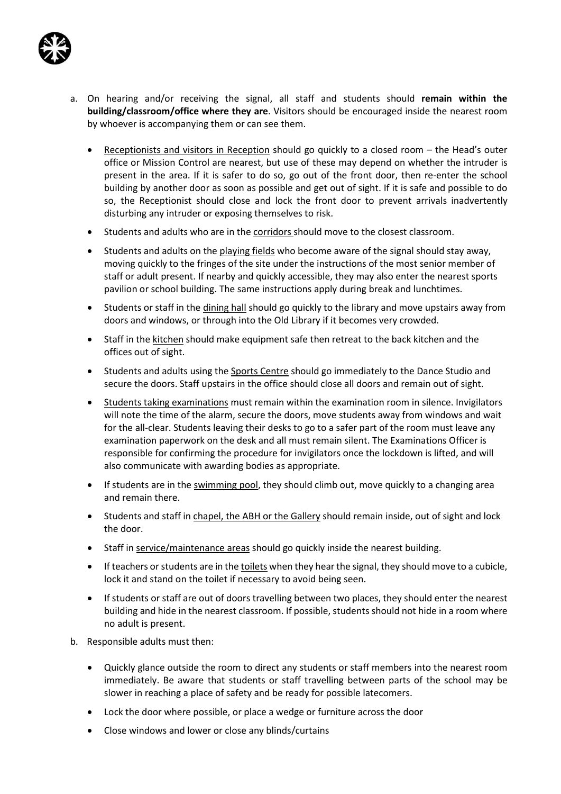

- a. On hearing and/or receiving the signal, all staff and students should remain within the building/classroom/office where they are. Visitors should be encouraged inside the nearest room by whoever is accompanying them or can see them.
	- Receptionists and visitors in Reception should go quickly to a closed room the Head's outer office or Mission Control are nearest, but use of these may depend on whether the intruder is present in the area. If it is safer to do so, go out of the front door, then re-enter the school building by another door as soon as possible and get out of sight. If it is safe and possible to do so, the Receptionist should close and lock the front door to prevent arrivals inadvertently disturbing any intruder or exposing themselves to risk.
	- Students and adults who are in the corridors should move to the closest classroom.
	- Students and adults on the playing fields who become aware of the signal should stay away, moving quickly to the fringes of the site under the instructions of the most senior member of staff or adult present. If nearby and quickly accessible, they may also enter the nearest sports pavilion or school building. The same instructions apply during break and lunchtimes.
	- Students or staff in the dining hall should go quickly to the library and move upstairs away from doors and windows, or through into the Old Library if it becomes very crowded.
	- Staff in the kitchen should make equipment safe then retreat to the back kitchen and the offices out of sight.
	- Students and adults using the Sports Centre should go immediately to the Dance Studio and secure the doors. Staff upstairs in the office should close all doors and remain out of sight.
	- Students taking examinations must remain within the examination room in silence. Invigilators will note the time of the alarm, secure the doors, move students away from windows and wait for the all-clear. Students leaving their desks to go to a safer part of the room must leave any examination paperwork on the desk and all must remain silent. The Examinations Officer is responsible for confirming the procedure for invigilators once the lockdown is lifted, and will also communicate with awarding bodies as appropriate.
	- If students are in the swimming pool, they should climb out, move quickly to a changing area and remain there.
	- Students and staff in chapel, the ABH or the Gallery should remain inside, out of sight and lock the door.
	- Staff in service/maintenance areas should go quickly inside the nearest building.
	- If teachers or students are in the toilets when they hear the signal, they should move to a cubicle, lock it and stand on the toilet if necessary to avoid being seen.
	- If students or staff are out of doors travelling between two places, they should enter the nearest building and hide in the nearest classroom. If possible, students should not hide in a room where no adult is present.
- b. Responsible adults must then:
	- Quickly glance outside the room to direct any students or staff members into the nearest room immediately. Be aware that students or staff travelling between parts of the school may be slower in reaching a place of safety and be ready for possible latecomers.
	- Lock the door where possible, or place a wedge or furniture across the door
	- Close windows and lower or close any blinds/curtains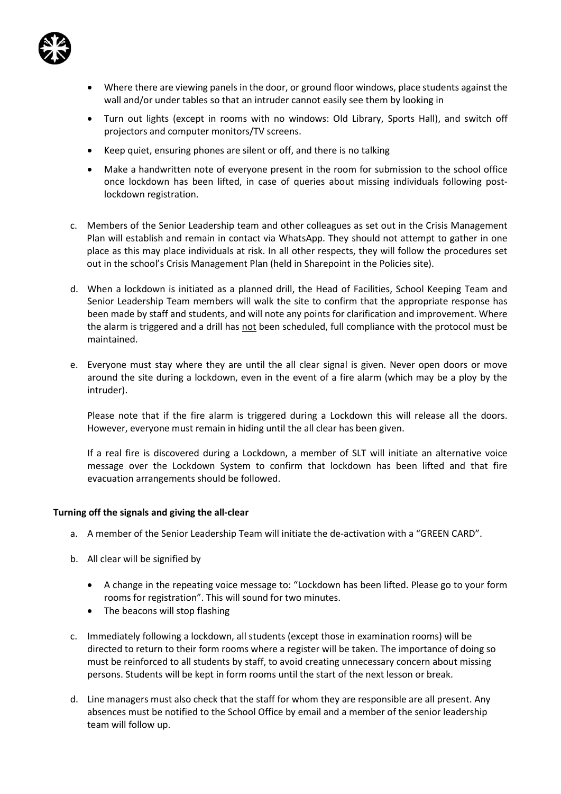

- Where there are viewing panels in the door, or ground floor windows, place students against the wall and/or under tables so that an intruder cannot easily see them by looking in
- Turn out lights (except in rooms with no windows: Old Library, Sports Hall), and switch off projectors and computer monitors/TV screens.
- Keep quiet, ensuring phones are silent or off, and there is no talking
- Make a handwritten note of everyone present in the room for submission to the school office once lockdown has been lifted, in case of queries about missing individuals following postlockdown registration.
- c. Members of the Senior Leadership team and other colleagues as set out in the Crisis Management Plan will establish and remain in contact via WhatsApp. They should not attempt to gather in one place as this may place individuals at risk. In all other respects, they will follow the procedures set out in the school's Crisis Management Plan (held in Sharepoint in the Policies site).
- d. When a lockdown is initiated as a planned drill, the Head of Facilities, School Keeping Team and Senior Leadership Team members will walk the site to confirm that the appropriate response has been made by staff and students, and will note any points for clarification and improvement. Where the alarm is triggered and a drill has not been scheduled, full compliance with the protocol must be maintained.
- e. Everyone must stay where they are until the all clear signal is given. Never open doors or move around the site during a lockdown, even in the event of a fire alarm (which may be a ploy by the intruder).

Please note that if the fire alarm is triggered during a Lockdown this will release all the doors. However, everyone must remain in hiding until the all clear has been given.

If a real fire is discovered during a Lockdown, a member of SLT will initiate an alternative voice message over the Lockdown System to confirm that lockdown has been lifted and that fire evacuation arrangements should be followed.

#### Turning off the signals and giving the all-clear

- a. A member of the Senior Leadership Team will initiate the de-activation with a "GREEN CARD".
- b. All clear will be signified by
	- A change in the repeating voice message to: "Lockdown has been lifted. Please go to your form rooms for registration". This will sound for two minutes.
	- The beacons will stop flashing
- c. Immediately following a lockdown, all students (except those in examination rooms) will be directed to return to their form rooms where a register will be taken. The importance of doing so must be reinforced to all students by staff, to avoid creating unnecessary concern about missing persons. Students will be kept in form rooms until the start of the next lesson or break.
- d. Line managers must also check that the staff for whom they are responsible are all present. Any absences must be notified to the School Office by email and a member of the senior leadership team will follow up.